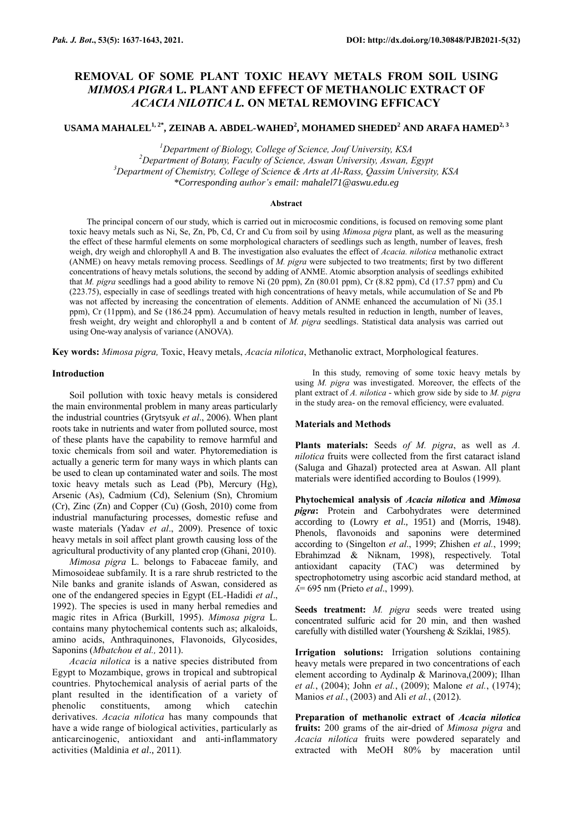# **REMOVAL OF SOME PLANT TOXIC HEAVY METALS FROM SOIL USING**  *MIMOSA PIGRA* **L. PLANT AND EFFECT OF METHANOLIC EXTRACT OF**  *ACACIA NILOTICA L.* **ON METAL REMOVING EFFICACY**

# **USAMA MAHALEL1, 2\*, ZEINAB A. ABDEL-WAHED<sup>2</sup> , MOHAMED SHEDED<sup>2</sup> AND ARAFA HAMED2, 3**

*<sup>1</sup>Department of Biology, College of Science, Jouf University, KSA*

*<sup>2</sup>Department of Botany, Faculty of Science, Aswan University, Aswan, Egypt <sup>3</sup>Department of Chemistry, College of Science & Arts at Al-Rass, Qassim University, KSA*

*\*Corresponding author's email: mahalel71@aswu.edu.eg*

#### **Abstract**

The principal concern of our study, which is carried out in microcosmic conditions, is focused on removing some plant toxic heavy metals such as Ni, Se, Zn, Pb, Cd, Cr and Cu from soil by using *Mimosa pigra* plant, as well as the measuring the effect of these harmful elements on some morphological characters of seedlings such as length, number of leaves, fresh weigh, dry weigh and chlorophyll A and B. The investigation also evaluates the effect of *Acacia. nilotica* methanolic extract (ANME) on heavy metals removing process. Seedlings of *M. pigra* were subjected to two treatments; first by two different concentrations of heavy metals solutions, the second by adding of ANME. Atomic absorption analysis of seedlings exhibited that *M. pigra* seedlings had a good ability to remove Ni (20 ppm), Zn (80.01 ppm), Cr (8.82 ppm), Cd (17.57 ppm) and Cu (223.75), especially in case of seedlings treated with high concentrations of heavy metals, while accumulation of Se and Pb was not affected by increasing the concentration of elements. Addition of ANME enhanced the accumulation of Ni (35.1 ppm), Cr (11ppm), and Se (186.24 ppm). Accumulation of heavy metals resulted in reduction in length, number of leaves, fresh weight, dry weight and chlorophyll a and b content of *M. pigra* seedlings. Statistical data analysis was carried out using One-way analysis of variance (ANOVA).

**Key words:** *Mimosa pigra,* Toxic, Heavy metals, *Acacia nilotica*, Methanolic extract, Morphological features.

# **Introduction**

Soil pollution with toxic heavy metals is considered the main environmental problem in many areas particularly the industrial countries (Grytsyuk *et al*., 2006). When plant roots take in nutrients and water from polluted source, most of these plants have the capability to remove harmful and toxic chemicals from soil and water. Phytoremediation is actually a generic term for many ways in which plants can be used to clean up contaminated water and soils. The most toxic heavy metals such as Lead (Pb), Mercury (Hg), Arsenic (As), Cadmium (Cd), Selenium (Sn), Chromium (Cr), Zinc (Zn) and Copper (Cu) (Gosh, 2010) come from industrial manufacturing processes, domestic refuse and waste materials (Yadav *et al*., 2009). Presence of toxic heavy metals in soil affect plant growth causing loss of the agricultural productivity of any planted crop (Ghani, 2010).

*Mimosa pigra* L. belongs to Fabaceae family, and Mimosoideae subfamily. It is a rare shrub restricted to the Nile banks and granite islands of Aswan, considered as one of the endangered species in Egypt (EL-Hadidi *et al*., 1992). The species is used in many herbal remedies and magic rites in Africa (Burkill, 1995). *Mimosa pigra* L. contains many phytochemical contents such as; alkaloids, amino acids, Anthraquinones, Flavonoids, Glycosides, Saponins (*Mbatchou et al.,* 2011).

*Acacia nilotica* is a native species distributed from Egypt to Mozambique, grows in tropical and subtropical countries. Phytochemical analysis of aerial parts of the plant resulted in the identification of a variety of phenolic constituents, among which catechin derivatives. *Acacia nilotica* has many compounds that have a wide range of biological activities, particularly as anticarcinogenic, antioxidant and anti-inflammatory activities (Maldinia *et al*., 2011)*.*

In this study, removing of some toxic heavy metals by using *M. pigra* was investigated. Moreover, the effects of the plant extract of *A. nilotica -* which grow side by side to *M. pigra* in the study area- on the removal efficiency, were evaluated.

#### **Materials and Methods**

**Plants materials:** Seeds *of M. pigra*, as well as *A. nilotica* fruits were collected from the first cataract island (Saluga and Ghazal) protected area at Aswan. All plant materials were identified according to Boulos (1999).

**Phytochemical analysis of** *Acacia nilotica* **and** *Mimosa pigra***:** Protein and Carbohydrates were determined according to (Lowry *et al*., 1951) and (Morris, 1948). Phenols, flavonoids and saponins were determined according to (Singelton *et al*., 1999; Zhishen *et al.*, 1999; Ebrahimzad & Niknam, 1998), respectively. Total antioxidant capacity (TAC) was determined by spectrophotometry using ascorbic acid standard method, at ʎ= 695 nm (Prieto *et al*., 1999).

**Seeds treatment:** *M. pigra* seeds were treated using concentrated sulfuric acid for 20 min, and then washed carefully with distilled water (Yoursheng & Sziklai, 1985).

**Irrigation solutions:** Irrigation solutions containing heavy metals were prepared in two concentrations of each element according to Aydinalp & Marinova,(2009); Ilhan *et al.*, (2004); John *et al.*, (2009); Malone *et al.*, (1974); Manios *et al.*, (2003) and Ali *et al.*, (2012).

**Preparation of methanolic extract of** *Acacia nilotica* **fruits:** 200 grams of the air-dried of *Mimosa pigra* and *Acacia nilotica* fruits were powdered separately and extracted with MeOH 80% by maceration until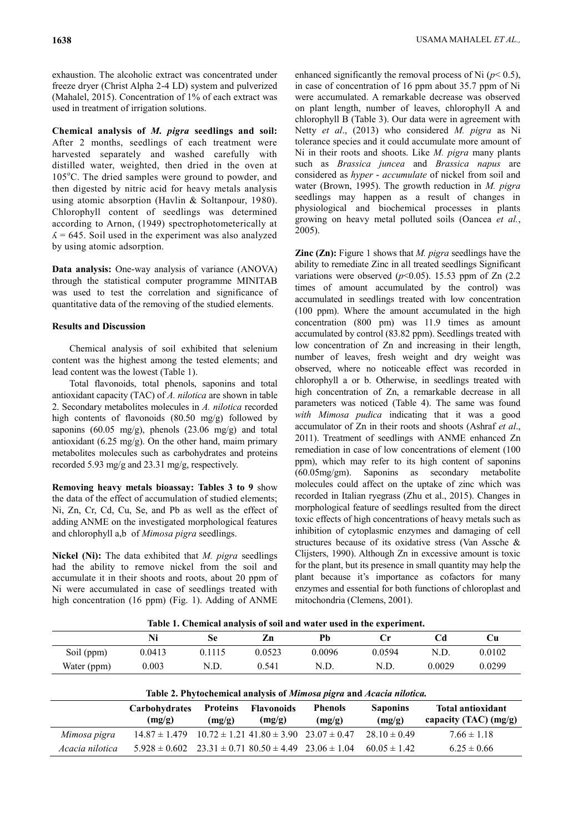exhaustion. The alcoholic extract was concentrated under freeze dryer (Christ Alpha 2-4 LD) system and pulverized (Mahalel, 2015). Concentration of 1% of each extract was used in treatment of irrigation solutions.

**Chemical analysis of** *M. pigra* **seedlings and soil:**  After 2 months, seedlings of each treatment were harvested separately and washed carefully with distilled water, weighted, then dried in the oven at  $105^{\circ}$ C. The dried samples were ground to powder, and then digested by nitric acid for heavy metals analysis using atomic absorption (Havlin & Soltanpour, 1980). Chlorophyll content of seedlings was determined according to Arnon, (1949) spectrophotometerically at  $\Lambda$  = 645. Soil used in the experiment was also analyzed by using atomic adsorption.

**Data analysis:** One-way analysis of variance (ANOVA) through the statistical computer programme MINITAB was used to test the correlation and significance of quantitative data of the removing of the studied elements.

# **Results and Discussion**

Chemical analysis of soil exhibited that selenium content was the highest among the tested elements; and lead content was the lowest (Table 1).

Total flavonoids, total phenols, saponins and total antioxidant capacity (TAC) of *A. nilotica* are shown in table 2. Secondary metabolites molecules in *A. nilotica* recorded high contents of flavonoids (80.50 mg/g) followed by saponins (60.05 mg/g), phenols (23.06 mg/g) and total antioxidant (6.25 mg/g). On the other hand, maim primary metabolites molecules such as carbohydrates and proteins recorded 5.93 mg/g and 23.31 mg/g, respectively.

**Removing heavy metals bioassay: Tables 3 to 9** show the data of the effect of accumulation of studied elements; Ni, Zn, Cr, Cd, Cu, Se, and Pb as well as the effect of adding ANME on the investigated morphological features and chlorophyll a,b of *Mimosa pigra* seedlings.

**Nickel (Ni):** The data exhibited that *M. pigra* seedlings had the ability to remove nickel from the soil and accumulate it in their shoots and roots, about 20 ppm of Ni were accumulated in case of seedlings treated with high concentration (16 ppm) (Fig. 1). Adding of ANME enhanced significantly the removal process of Ni  $(p< 0.5)$ , in case of concentration of 16 ppm about 35.7 ppm of Ni were accumulated. A remarkable decrease was observed on plant length, number of leaves, chlorophyll A and chlorophyll B (Table 3). Our data were in agreement with Netty *et al*., (2013) who considered *M. pigra* as Ni tolerance species and it could accumulate more amount of Ni in their roots and shoots. Like *M. pigra* many plants such as *Brassica juncea* and *Brassica napus* are considered as *hyper - accumulate* of nickel from soil and water (Brown, 1995). The growth reduction in *M. pigra* seedlings may happen as a result of changes in physiological and biochemical processes in plants growing on heavy metal polluted soils (Oancea *et al.*, 2005).

**Zinc (Zn):** Figure 1 shows that *M. pigra* seedlings have the ability to remediate Zinc in all treated seedlings Significant variations were observed  $(p<0.05)$ . 15.53 ppm of Zn  $(2.2)$ times of amount accumulated by the control) was accumulated in seedlings treated with low concentration (100 ppm). Where the amount accumulated in the high concentration (800 pm) was 11.9 times as amount accumulated by control (83.82 ppm). Seedlings treated with low concentration of Zn and increasing in their length, number of leaves, fresh weight and dry weight was observed, where no noticeable effect was recorded in chlorophyll a or b. Otherwise, in seedlings treated with high concentration of Zn, a remarkable decrease in all parameters was noticed (Table 4). The same was found *with Mimosa pudica* indicating that it was a good accumulator of Zn in their roots and shoots (Ashraf *et al*., 2011). Treatment of seedlings with ANME enhanced Zn remediation in case of low concentrations of element (100 ppm), which may refer to its high content of saponins (60.05mg/gm). Saponins as secondary metabolite molecules could affect on the uptake of zinc which was recorded in Italian ryegrass (Zhu et al., 2015). Changes in morphological feature of seedlings resulted from the direct toxic effects of high concentrations of heavy metals such as inhibition of cytoplasmic enzymes and damaging of cell structures because of its oxidative stress (Van Assche & Clijsters, 1990). Although Zn in excessive amount is toxic for the plant, but its presence in small quantity may help the plant because it's importance as cofactors for many enzymes and essential for both functions of chloroplast and mitochondria (Clemens, 2001).

| Table 1. Chemical analysis of soil and water used in the experiment. |        |        |        |        |        |        |        |  |  |  |
|----------------------------------------------------------------------|--------|--------|--------|--------|--------|--------|--------|--|--|--|
|                                                                      | Ni     | Se     | Zn     | Pb     | €r     |        | Cu     |  |  |  |
| Soil (ppm)                                                           | 0.0413 | 0.1115 | 0.0523 | 0.0096 | 0.0594 | N.D    | 0.0102 |  |  |  |
| Water (ppm)                                                          | 0.003  | N.D.   | 0.541  | N.D.   | N.D.   | 0.0029 | 0.0299 |  |  |  |

|  |  |  | Table 1. Chemical analysis of soil and water used in the experiment. |
|--|--|--|----------------------------------------------------------------------|
|  |  |  |                                                                      |

| Table 2. Phytochemical analysis of Mimosa pigra and Acacia nilotica. |                                                                      |                           |                             |                          |                           |                                                     |  |  |  |
|----------------------------------------------------------------------|----------------------------------------------------------------------|---------------------------|-----------------------------|--------------------------|---------------------------|-----------------------------------------------------|--|--|--|
|                                                                      | Carbohydrates<br>(mg/g)                                              | <b>Proteins</b><br>(mg/g) | <b>Flavonoids</b><br>(mg/g) | <b>Phenols</b><br>(mg/g) | <b>Saponins</b><br>(mg/g) | <b>Total antioxidant</b><br>capacity (TAC) $(mg/g)$ |  |  |  |
| Mimosa pigra                                                         | $14.87 \pm 1.479$ $10.72 \pm 1.21$ $41.80 \pm 3.90$ $23.07 \pm 0.47$ |                           |                             |                          | $28.10 \pm 0.49$          | $7.66 \pm 1.18$                                     |  |  |  |
| Acacia nilotica                                                      | $5.928 \pm 0.602$ $23.31 \pm 0.71$ $80.50 \pm 4.49$ $23.06 \pm 1.04$ |                           |                             |                          | $60.05 \pm 1.42$          | $6.25 \pm 0.66$                                     |  |  |  |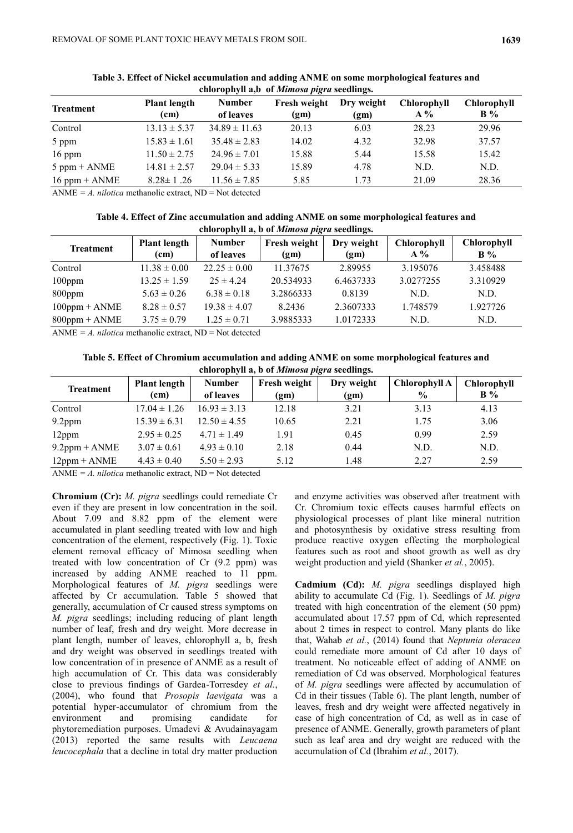| <b>Treatment</b> | <b>Plant length</b><br>(cm) | <b>Number</b><br>of leaves | Fresh weight<br>(gm) | Dry weight<br>(gm) | <b>Chlorophyll</b><br>$A\%$ | Chlorophyll<br>$\mathbf{B}$ % |
|------------------|-----------------------------|----------------------------|----------------------|--------------------|-----------------------------|-------------------------------|
| Control          | $13.13 \pm 5.37$            | $34.89 \pm 11.63$          | 20.13                | 6.03               | 28.23                       | 29.96                         |
| 5 ppm            | $15.83 \pm 1.61$            | $35.48 \pm 2.83$           | 14.02                | 4.32               | 32.98                       | 37.57                         |
| $16$ ppm         | $11.50 \pm 2.75$            | $24.96 \pm 7.01$           | 15.88                | 5.44               | 15.58                       | 15.42                         |
| $5$ ppm + $ANME$ | $14.81 \pm 2.57$            | $29.04 \pm 5.33$           | 15.89                | 4.78               | N.D.                        | N.D.                          |
| $16$ ppm + ANME  | $8.28 \pm 1.26$             | $11.56 \pm 7.85$           | 5.85                 | 1.73               | 21.09                       | 28.36                         |

**Table 3. Effect of Nickel accumulation and adding ANME on some morphological features and chlorophyll a,b of** *Mimosa pigra* **seedlings.** 

ANME  $= A$ . *nilotica* methanolic extract, ND  $=$  Not detected

| Table 4. Effect of Zinc accumulation and adding ANME on some morphological features and |
|-----------------------------------------------------------------------------------------|
| chlorophyll a, b of <i>Mimosa pigra</i> seedlings.                                      |

| <b>Treatment</b> | <b>Plant length</b><br>(cm) | <b>Number</b><br>of leaves | Fresh weight<br>(gm) | Dry weight<br>(g <sub>m</sub> ) | Chlorophyll<br>$A\%$ | <b>Chlorophyll</b><br>$B\%$ |
|------------------|-----------------------------|----------------------------|----------------------|---------------------------------|----------------------|-----------------------------|
| Control          | $11.38 \pm 0.00$            | $22.25 \pm 0.00$           | 11.37675             | 2.89955                         | 3.195076             | 3.458488                    |
| $100$ ppm        | $13.25 \pm 1.59$            | $25 \pm 4.24$              | 20.534933            | 6.4637333                       | 3.0277255            | 3.310929                    |
| $800$ ppm        | $5.63 \pm 0.26$             | $6.38 \pm 0.18$            | 3.2866333            | 0.8139                          | N.D.                 | N.D.                        |
| $100$ ppm + ANME | $8.28 \pm 0.57$             | $19.38 \pm 4.07$           | 8.2436               | 2.3607333                       | 1.748579             | 1.927726                    |
| $800$ ppm + ANME | $3.75 \pm 0.79$             | $1.25 \pm 0.71$            | 3.9885333            | 1.0172333                       | N.D.                 | N.D.                        |
|                  |                             |                            |                      |                                 |                      |                             |

ANME  $= A.$  *nilotica* methanolic extract, ND  $=$  Not detected

**Table 5. Effect of Chromium accumulation and adding ANME on some morphological features and chlorophyll a, b of** *Mimosa pigra* **seedlings.** 

| chrot ophyn as o of <i>hemosa pig</i> a securings. |                                          |                            |                                   |                    |                                |                                      |  |  |  |  |
|----------------------------------------------------|------------------------------------------|----------------------------|-----------------------------------|--------------------|--------------------------------|--------------------------------------|--|--|--|--|
| <b>Treatment</b>                                   | <b>Plant length</b><br>(c <sub>m</sub> ) | <b>Number</b><br>of leaves | Fresh weight<br>(g <sub>m</sub> ) | Dry weight<br>(gm) | Chlorophyll A<br>$\frac{6}{9}$ | <b>Chlorophyll</b><br>$\mathbf{B}$ % |  |  |  |  |
| Control                                            | $17.04 \pm 1.26$                         | $16.93 \pm 3.13$           | 12.18                             | 3.21               | 3.13                           | 4.13                                 |  |  |  |  |
| 9.2ppm                                             | $15.39 \pm 6.31$                         | $12.50 \pm 4.55$           | 10.65                             | 2.21               | 1.75                           | 3.06                                 |  |  |  |  |
| $12$ ppm                                           | $2.95 \pm 0.25$                          | $4.71 \pm 1.49$            | 1.91                              | 0.45               | 0.99                           | 2.59                                 |  |  |  |  |
| $9.2$ ppm + ANME                                   | $3.07 \pm 0.61$                          | $4.93 \pm 0.10$            | 2.18                              | 0.44               | N.D.                           | N.D.                                 |  |  |  |  |
| $12$ ppm + $ANME$                                  | $4.43 \pm 0.40$                          | $5.50 \pm 2.93$            | 5.12                              | 1.48               | 2.27                           | 2.59                                 |  |  |  |  |

ANME *= A. nilotica* methanolic extract, ND = Not detected

**Chromium (Cr):** *M. pigra* seedlings could remediate Cr even if they are present in low concentration in the soil. About 7.09 and 8.82 ppm of the element were accumulated in plant seedling treated with low and high concentration of the element, respectively (Fig. 1). Toxic element removal efficacy of Mimosa seedling when treated with low concentration of Cr (9.2 ppm) was increased by adding ANME reached to 11 ppm. Morphological features of *M. pigra* seedlings were affected by Cr accumulation. Table 5 showed that generally, accumulation of Cr caused stress symptoms on *M. pigra* seedlings; including reducing of plant length number of leaf, fresh and dry weight. More decrease in plant length, number of leaves, chlorophyll a, b, fresh and dry weight was observed in seedlings treated with low concentration of in presence of ANME as a result of high accumulation of Cr. This data was considerably close to previous findings of Gardea-Torresdey *et al.*, (2004), who found that *Prosopis laevigata* was a potential hyper-accumulator of chromium from the<br>environment and promising candidate for environment and promising candidate for phytoremediation purposes. Umadevi & Avudainayagam (2013) reported the same results with *Leucaena leucocephala* that a decline in total dry matter production

and enzyme activities was observed after treatment with Cr. Chromium toxic effects causes harmful effects on physiological processes of plant like mineral nutrition and photosynthesis by oxidative stress resulting from produce reactive oxygen effecting the morphological features such as root and shoot growth as well as dry weight production and yield (Shanker *et al.*, 2005).

**Cadmium (Cd):** *M. pigra* seedlings displayed high ability to accumulate Cd (Fig. 1). Seedlings of *M. pigra* treated with high concentration of the element (50 ppm) accumulated about 17.57 ppm of Cd, which represented about 2 times in respect to control. Many plants do like that, Wahab *et al.*, (2014) found that *Neptunia oleracea* could remediate more amount of Cd after 10 days of treatment. No noticeable effect of adding of ANME on remediation of Cd was observed. Morphological features of *M. pigra* seedlings were affected by accumulation of Cd in their tissues (Table 6). The plant length, number of leaves, fresh and dry weight were affected negatively in case of high concentration of Cd, as well as in case of presence of ANME. Generally, growth parameters of plant such as leaf area and dry weight are reduced with the accumulation of Cd (Ibrahim *et al.*, 2017).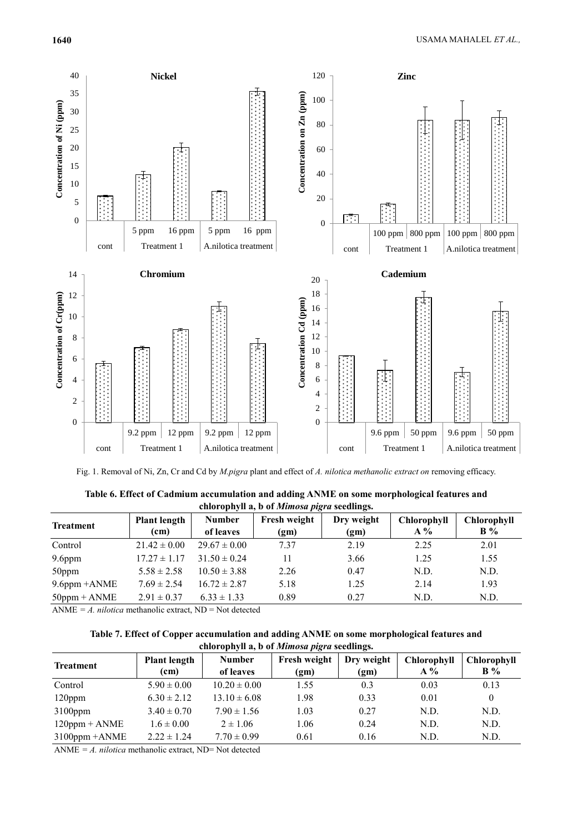

Fig. 1. Removal of Ni, Zn, Cr and Cd by *M.pigra* plant and effect of *A. nilotica methanolic extract on* removing efficacy.

| chorophyn a, o or <i>mumosu pigru</i> securings. |                                          |                            |                      |                    |                             |                               |  |  |  |  |
|--------------------------------------------------|------------------------------------------|----------------------------|----------------------|--------------------|-----------------------------|-------------------------------|--|--|--|--|
| <b>Treatment</b>                                 | <b>Plant length</b><br>(c <sub>m</sub> ) | <b>Number</b><br>of leaves | Fresh weight<br>(gm) | Dry weight<br>(gm) | <b>Chlorophyll</b><br>$A\%$ | Chlorophyll<br>$\mathbf{B}$ % |  |  |  |  |
| Control                                          | $21.42 \pm 0.00$                         | $29.67 \pm 0.00$           | 7.37                 | 2.19               | 2.25                        | 2.01                          |  |  |  |  |
| $9.6$ ppm                                        | $17.27 \pm 1.17$                         | $31.50 \pm 0.24$           | 11                   | 3.66               | 1.25                        | 1.55                          |  |  |  |  |
| 50ppm                                            | $5.58 \pm 2.58$                          | $10.50 \pm 3.88$           | 2.26                 | 0.47               | N.D.                        | N.D.                          |  |  |  |  |
| $9.6$ ppm $+ANME$                                | $7.69 \pm 2.54$                          | $16.72 \pm 2.87$           | 5.18                 | 1.25               | 2.14                        | 1.93                          |  |  |  |  |
| $50$ ppm + ANME                                  | $2.91 \pm 0.37$                          | $6.33 \pm 1.33$            | 0.89                 | 0.27               | N.D.                        | N.D.                          |  |  |  |  |
|                                                  |                                          |                            |                      |                    |                             |                               |  |  |  |  |

**Table 6. Effect of Cadmium accumulation and adding ANME on some morphological features and chlorophyll a, b of** *Mimosa pigra* **seedlings.** 

ANME  $= A.$  *nilotica* methanolic extract, ND  $=$  Not detected

| Table 7. Effect of Copper accumulation and adding ANME on some morphological features and |  |
|-------------------------------------------------------------------------------------------|--|
| chlorophyll a, b of <i>Mimosa pigra</i> seedlings.                                        |  |

|                    | chrot ophyn as o of <i>hemosa pig</i> a securings. |                            |                      |                    |                             |                                      |  |  |  |  |
|--------------------|----------------------------------------------------|----------------------------|----------------------|--------------------|-----------------------------|--------------------------------------|--|--|--|--|
| <b>Treatment</b>   | <b>Plant length</b><br>(cm)                        | <b>Number</b><br>of leaves | Fresh weight<br>(gm) | Dry weight<br>(gm) | <b>Chlorophyll</b><br>$A\%$ | <b>Chlorophyll</b><br>$\mathbf{B}$ % |  |  |  |  |
| Control            | $5.90 \pm 0.00$                                    | $10.20 \pm 0.00$           | 1.55                 | 0.3                | 0.03                        | 0.13                                 |  |  |  |  |
| $120$ ppm          | $6.30 \pm 2.12$                                    | $13.10 \pm 6.08$           | 1.98                 | 0.33               | 0.01                        | $\theta$                             |  |  |  |  |
| $3100$ ppm         | $3.40 \pm 0.70$                                    | $7.90 \pm 1.56$            | 1.03                 | 0.27               | N.D.                        | N.D.                                 |  |  |  |  |
| $120$ ppm + ANME   | $1.6 \pm 0.00$                                     | $2 \pm 1.06$               | 1.06                 | 0.24               | N.D.                        | N.D.                                 |  |  |  |  |
| $3100$ ppm $+ANME$ | $2.22 \pm 1.24$                                    | $7.70 \pm 0.99$            | 0.61                 | 0.16               | N.D.                        | N.D.                                 |  |  |  |  |

ANME *= A. nilotica* methanolic extract, ND= Not detected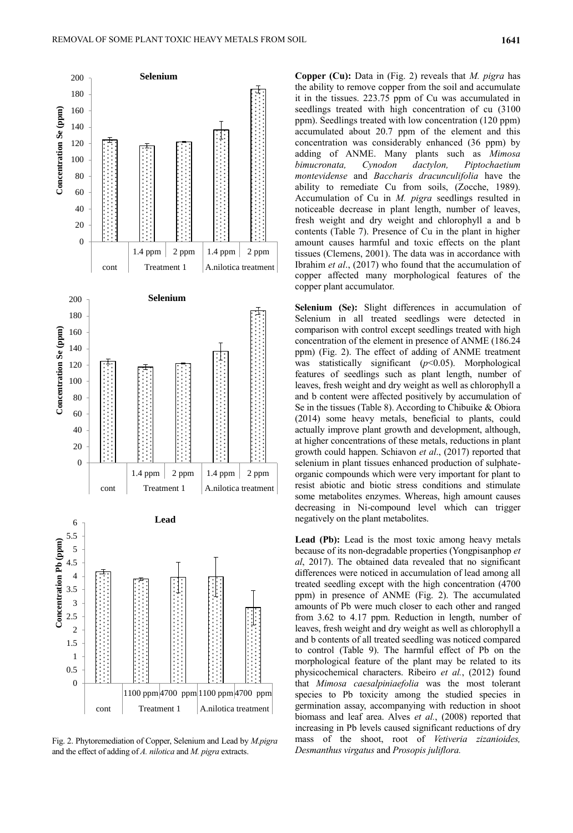

Fig. 2. Phytoremediation of Copper, Selenium and Lead by *M.pigra* and the effect of adding of *A. nilotica* and *M. pigra* extracts.

**Copper (Cu):** Data in (Fig. 2) reveals that *M. pigra* has the ability to remove copper from the soil and accumulate it in the tissues. 223.75 ppm of Cu was accumulated in seedlings treated with high concentration of cu (3100 ppm). Seedlings treated with low concentration (120 ppm) accumulated about 20.7 ppm of the element and this concentration was considerably enhanced (36 ppm) by adding of ANME. Many plants such as *Mimosa bimucronata, Cynodon dactylon, Piptochaetium montevidense* and *Baccharis dracunculifolia* have the ability to remediate Cu from soils, (Zocche, 1989). Accumulation of Cu in *M. pigra* seedlings resulted in noticeable decrease in plant length, number of leaves, fresh weight and dry weight and chlorophyll a and b contents (Table 7). Presence of Cu in the plant in higher amount causes harmful and toxic effects on the plant tissues (Clemens, 2001). The data was in accordance with Ibrahim *et al*., (2017) who found that the accumulation of copper affected many morphological features of the copper plant accumulator.

**Selenium (Se):** Slight differences in accumulation of Selenium in all treated seedlings were detected in comparison with control except seedlings treated with high concentration of the element in presence of ANME (186.24 ppm) (Fig. 2). The effect of adding of ANME treatment was statistically significant (*p*<0.05). Morphological features of seedlings such as plant length, number of leaves, fresh weight and dry weight as well as chlorophyll a and b content were affected positively by accumulation of Se in the tissues (Table 8). According to Chibuike & Obiora (2014) some heavy metals, beneficial to plants, could actually improve plant growth and development, although, at higher concentrations of these metals, reductions in plant growth could happen. Schiavon *et al*., (2017) reported that selenium in plant tissues enhanced production of sulphateorganic compounds which were very important for plant to resist abiotic and biotic stress conditions and stimulate some metabolites enzymes. Whereas, high amount causes decreasing in Ni-compound level which can trigger negatively on the plant metabolites.

Lead (Pb): Lead is the most toxic among heavy metals because of its non-degradable properties (Yongpisanphop *et al*, 2017). The obtained data revealed that no significant differences were noticed in accumulation of lead among all treated seedling except with the high concentration (4700 ppm) in presence of ANME (Fig. 2). The accumulated amounts of Pb were much closer to each other and ranged from 3.62 to 4.17 ppm. Reduction in length, number of leaves, fresh weight and dry weight as well as chlorophyll a and b contents of all treated seedling was noticed compared to control (Table 9). The harmful effect of Pb on the morphological feature of the plant may be related to its physicochemical characters. Ribeiro *et al.*, (2012) found that *Mimosa caesalpiniaefolia* was the most tolerant species to Pb toxicity among the studied species in germination assay, accompanying with reduction in shoot biomass and leaf area. Alves *et al.*, (2008) reported that increasing in Pb levels caused significant reductions of dry mass of the shoot, root of *Vetiveria zizanioides, Desmanthus virgatus* and *Prosopis juliflora.*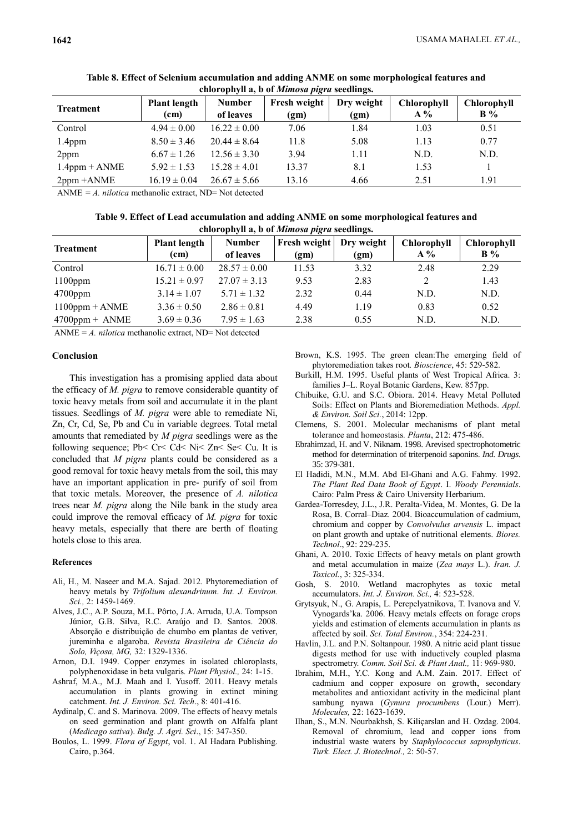| <b>Treatment</b> | <b>Plant length</b><br>(cm) | <b>Number</b><br>of leaves | Fresh weight<br>(g <sub>m</sub> ) | Dry weight<br>(gm) | Chlorophyll<br>$A\%$ | <b>Chlorophyll</b><br>$B\%$ |
|------------------|-----------------------------|----------------------------|-----------------------------------|--------------------|----------------------|-----------------------------|
| Control          | $4.94 \pm 0.00$             | $16.22 \pm 0.00$           | 7.06                              | 1.84               | 1.03                 | 0.51                        |
| $1.4$ ppm        | $8.50 \pm 3.46$             | $20.44 \pm 8.64$           | 11.8                              | 5.08               | 1.13                 | 0.77                        |
| $2$ ppm          | $6.67 \pm 1.26$             | $12.56 \pm 3.30$           | 3.94                              | 1.11               | N.D.                 | N.D.                        |
| $1.4$ ppm + ANME | $5.92 \pm 1.53$             | $15.28 \pm 4.01$           | 13.37                             | 8.1                | 1.53                 |                             |
| $2ppm + ANME$    | $16.19 \pm 0.04$            | $26.67 \pm 5.66$           | 13.16                             | 4.66               | 2.51                 | 1.91                        |

**Table 8. Effect of Selenium accumulation and adding ANME on some morphological features and chlorophyll a, b of** *Mimosa pigra* **seedlings.** 

ANME *= A. nilotica* methanolic extract, ND= Not detected

**Table 9. Effect of Lead accumulation and adding ANME on some morphological features and chlorophyll a, b of** *Mimosa pigra* **seedlings.** 

| <b>Treatment</b>  | <b>Plant length</b><br>(cm) | <b>Number</b><br>of leaves | Fresh weight<br>(gm) | Dry weight<br>(gm) | <b>Chlorophyll</b><br>$A\%$ | <b>Chlorophyll</b><br>$B\%$ |
|-------------------|-----------------------------|----------------------------|----------------------|--------------------|-----------------------------|-----------------------------|
| Control           | $16.71 \pm 0.00$            | $28.57 \pm 0.00$           | 11.53                | 3.32               | 2.48                        | 2.29                        |
| $1100$ ppm        | $15.21 \pm 0.97$            | $27.07 \pm 3.13$           | 9.53                 | 2.83               | 2                           | 1.43                        |
| $4700$ ppm        | $3.14 \pm 1.07$             | $5.71 \pm 1.32$            | 2.32                 | 0.44               | N.D.                        | N.D.                        |
| $1100$ ppm + ANME | $3.36 \pm 0.50$             | $2.86 \pm 0.81$            | 4.49                 | 1.19               | 0.83                        | 0.52                        |
| $4700$ ppm + ANME | $3.69 \pm 0.36$             | $7.95 \pm 1.63$            | 2.38                 | 0.55               | N.D.                        | N.D.                        |

ANME =  $A$ . *nilotica* methanolic extract, ND= Not detected

# **Conclusion**

This investigation has a promising applied data about the efficacy of *M. pigra* to remove considerable quantity of toxic heavy metals from soil and accumulate it in the plant tissues. Seedlings of *M. pigra* were able to remediate Ni, Zn, Cr, Cd, Se, Pb and Cu in variable degrees. Total metal amounts that remediated by *M pigra* seedlings were as the following sequence; Pb˂ Cr˂ Cd˂ Ni˂ Zn˂ Se˂ Cu. It is concluded that *M pigra* plants could be considered as a good removal for toxic heavy metals from the soil, this may have an important application in pre- purify of soil from that toxic metals. Moreover, the presence of *A. nilotica* trees near *M. pigra* along the Nile bank in the study area could improve the removal efficacy of *M. pigra* for toxic heavy metals, especially that there are berth of floating hotels close to this area.

### **References**

- Ali, H., M. Naseer and M.A. Sajad. 2012. Phytoremediation of heavy metals by *Trifolium alexandrinum*. *Int. J. Environ. Sci.,* 2: 1459-1469.
- Alves, J.C., A.P. Souza, M.L. Pôrto, J.A. Arruda, U.A. Tompson Júnior, G.B. Silva, R.C. Araújo and D. Santos. 2008. Absorção e distribuição de chumbo em plantas de vetiver, jureminha e algaroba. *Revista Brasileira de Ciência do Solo, Viçosa, MG,* 32: 1329-1336.
- Arnon, D.I. 1949. Copper enzymes in isolated chloroplasts, polyphenoxidase in beta vulgaris*. Plant Physiol.,* 24: 1-15.
- Ashraf, M.A., M.J. Maah and I. Yusoff. 2011. Heavy metals accumulation in plants growing in extinct mining catchment. *Int. J. Environ. Sci. Tech*., 8: 401-416.
- Aydinalp, C. and S. Marinova. 2009. The effects of heavy metals on seed germination and plant growth on Alfalfa plant (*Medicago sativa*). *Bulg. J. Agri. Sci*., 15: 347-350.
- Boulos, L. 1999. *Flora of Egypt*, vol. 1. Al Hadara Publishing. Cairo, p.364.
- Brown, K.S. 1995. The green clean:The emerging field of phytoremediation takes root*. Bioscience*, 45: 529-582.
- Burkill, H.M. 1995. Useful plants of West Tropical Africa. 3: families J–L. Royal Botanic Gardens, Kew. 857pp.
- Chibuike, G.U. and S.C. Obiora. 2014. Heavy Metal Polluted Soils: Effect on Plants and Bioremediation Methods. *Appl. & Environ. Soil Sci.*, 2014: 12pp.
- Clemens, S. 2001. Molecular mechanisms of plant metal tolerance and homeostasis*. Planta*, 212: 475-486.
- Ebrahimzad, H. and V. Niknam. 1998. Arevised spectrophotometric method for determination of triterpenoid saponins. *Ind. Drugs*. 35: 379-381.
- El Hadidi, M.N., M.M. Abd El-Ghani and A.G. Fahmy. 1992. *The Plant Red Data Book of Egypt*. I. *Woody Perennials*. Cairo: Palm Press & Cairo University Herbarium.
- Gardea-Torresdey, J.L., J.R. Peralta-Videa, M. Montes, G. De la Rosa, B. Corral–Diaz. 2004. Bioaccumulation of cadmium, chromium and copper by *Convolvulus arvensis* L. impact on plant growth and uptake of nutritional elements. *Biores. Technol*., 92: 229-235.
- Ghani, A. 2010. Toxic Effects of heavy metals on plant growth and metal accumulation in maize (*Zea mays* L.). *Iran. J. Toxicol.*, 3: 325-334.
- Gosh, S. 2010. Wetland macrophytes as toxic metal accumulators. *Int. J. Environ. Sci.,* 4: 523-528.
- Grytsyuk, N., G. Arapis, L. Perepelyatnikova, T. Ivanova and V. Vynogards'ka. 2006. Heavy metals effects on forage crops yields and estimation of elements accumulation in plants as affected by soil. *Sci. Total Environ.*, 354: 224-231.
- Havlin, J.L. and P.N. Soltanpour. 1980. A nitric acid plant tissue digests method for use with inductively coupled plasma spectrometry. *Comm. Soil Sci. & Plant Anal.,* 11: 969-980.
- Ibrahim, M.H., Y.C. Kong and A.M. Zain. 2017. Effect of cadmium and copper exposure on growth, secondary metabolites and antioxidant activity in the medicinal plant sambung nyawa (*Gynura procumbens* (Lour.) Merr). *Molecules,* 22: 1623-1639.
- Ilhan, S., M.N. Nourbakhsh, S. Kiliçarslan and H. Ozdag. 2004. Removal of chromium, lead and copper ions from industrial waste waters by *Staphylococcus saprophyticus*. *Turk. Elect. J. Biotechnol.,* 2: 50-57.